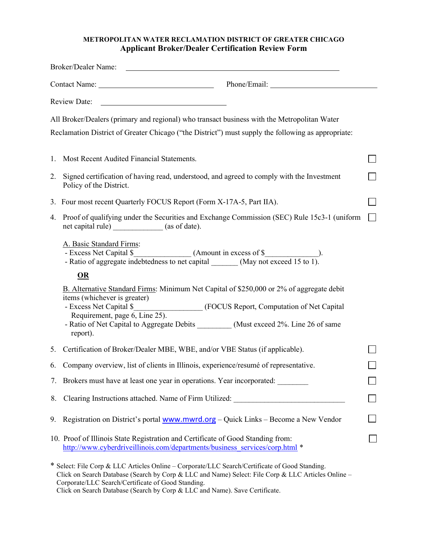## METROPOLITAN WATER RECLAMATION DISTRICT OF GREATER CHICAGO Applicant Broker/Dealer Certification Review Form

|    | Broker/Dealer Name:                                                                                                                                                                                                                                        |  |
|----|------------------------------------------------------------------------------------------------------------------------------------------------------------------------------------------------------------------------------------------------------------|--|
|    | Contact Name: Phone/Email:                                                                                                                                                                                                                                 |  |
|    | Review Date:                                                                                                                                                                                                                                               |  |
|    | All Broker/Dealers (primary and regional) who transact business with the Metropolitan Water                                                                                                                                                                |  |
|    | Reclamation District of Greater Chicago ("the District") must supply the following as appropriate:                                                                                                                                                         |  |
| 1. | Most Recent Audited Financial Statements.                                                                                                                                                                                                                  |  |
| 2. | Signed certification of having read, understood, and agreed to comply with the Investment<br>Policy of the District.                                                                                                                                       |  |
|    | 3. Four most recent Quarterly FOCUS Report (Form X-17A-5, Part IIA).                                                                                                                                                                                       |  |
| 4. | Proof of qualifying under the Securities and Exchange Commission (SEC) Rule 15c3-1 (uniform<br>net capital rule) ___________ (as of date).                                                                                                                 |  |
|    | A. Basic Standard Firms:                                                                                                                                                                                                                                   |  |
|    | OR                                                                                                                                                                                                                                                         |  |
|    | B. Alternative Standard Firms: Minimum Net Capital of \$250,000 or 2% of aggregate debit<br>items (whichever is greater)<br>(FOCUS Report, Computation of Net Capital<br>- Excess Net Capital \$<br>Requirement, page 6, Line 25).                         |  |
|    | - Ratio of Net Capital to Aggregate Debits __________ (Must exceed 2%. Line 26 of same<br>report).                                                                                                                                                         |  |
| 5. | Certification of Broker/Dealer MBE, WBE, and/or VBE Status (if applicable).                                                                                                                                                                                |  |
| 6. | Company overview, list of clients in Illinois, experience/resumé of representative.                                                                                                                                                                        |  |
|    | 7. Brokers must have at least one year in operations. Year incorporated:                                                                                                                                                                                   |  |
| 8. | Clearing Instructions attached. Name of Firm Utilized:                                                                                                                                                                                                     |  |
| 9. | Registration on District's portal www.mwrd.org - Quick Links - Become a New Vendor                                                                                                                                                                         |  |
|    | 10. Proof of Illinois State Registration and Certificate of Good Standing from:<br>http://www.cyberdriveillinois.com/departments/business_services/corp.html *                                                                                             |  |
|    | * Select: File Corp & LLC Articles Online - Corporate/LLC Search/Certificate of Good Standing.<br>Click on Search Database (Search by Corp & LLC and Name) Select: File Corp & LLC Articles Online -<br>Corporate/LLC Search/Certificate of Good Standing. |  |

Click on Search Database (Search by Corp & LLC and Name). Save Certificate.